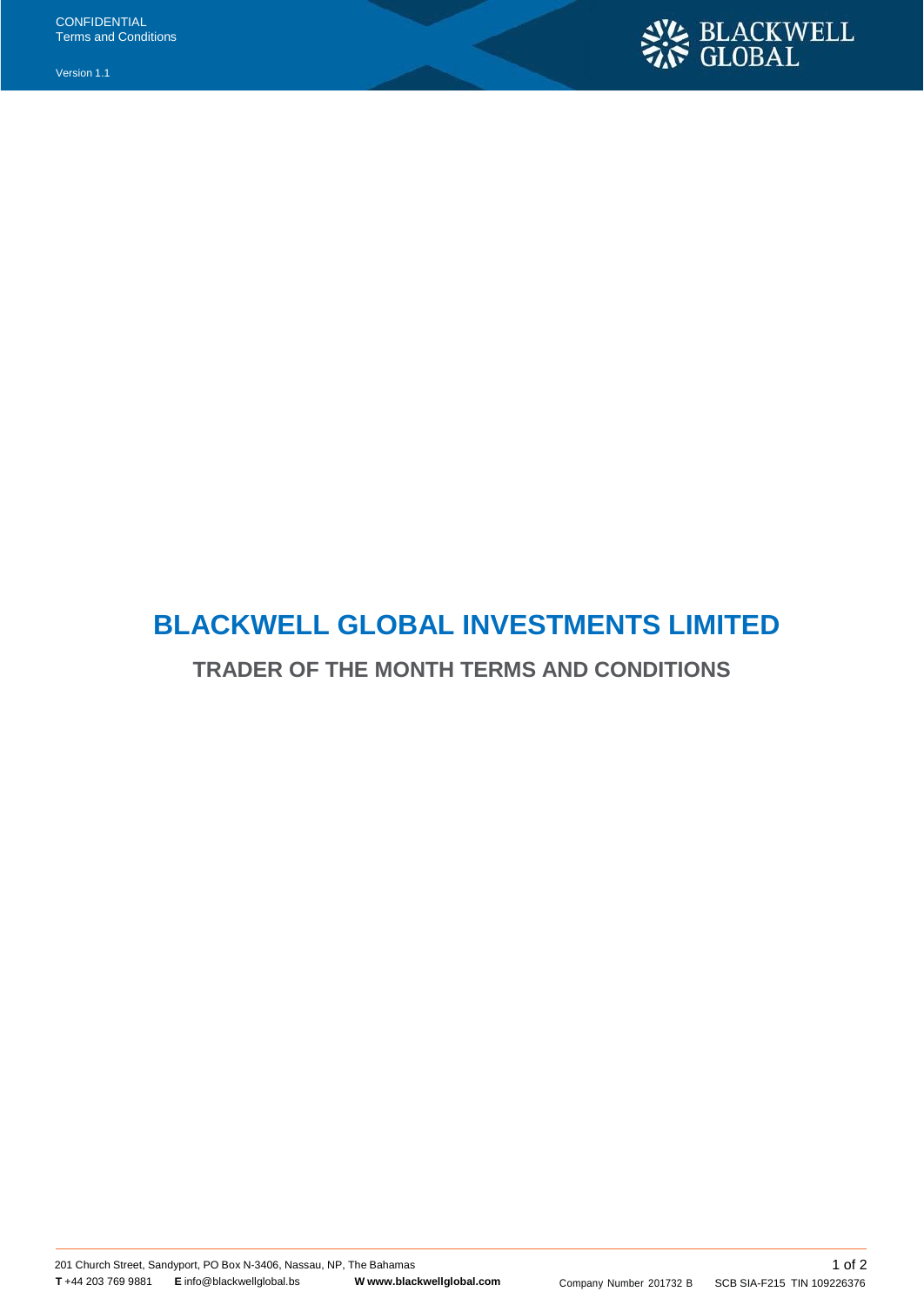Version 1.1



## **BLACKWELL GLOBAL INVESTMENTS LIMITED**

**TRADER OF THE MONTH TERMS AND CONDITIONS**